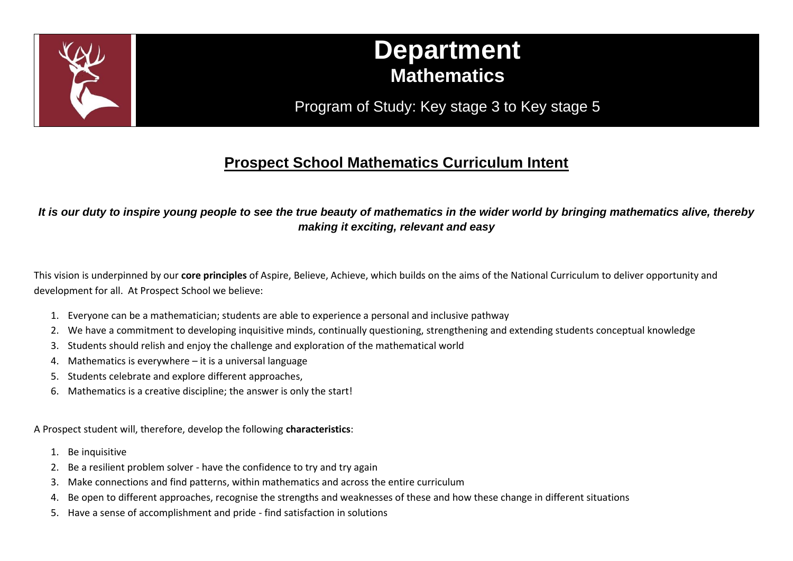

# **Department Mathematics**

Program of Study: Key stage 3 to Key stage 5

# **Prospect School Mathematics Curriculum Intent**

### *It is our duty to inspire young people to see the true beauty of mathematics in the wider world by bringing mathematics alive, thereby making it exciting, relevant and easy*

This vision is underpinned by our **core principles** of Aspire, Believe, Achieve, which builds on the aims of the National Curriculum to deliver opportunity and development for all. At Prospect School we believe:

- 1. Everyone can be a mathematician; students are able to experience a personal and inclusive pathway
- 2. We have a commitment to developing inquisitive minds, continually questioning, strengthening and extending students conceptual knowledge
- 3. Students should relish and enjoy the challenge and exploration of the mathematical world
- 4. Mathematics is everywhere it is a universal language
- 5. Students celebrate and explore different approaches,
- 6. Mathematics is a creative discipline; the answer is only the start!

A Prospect student will, therefore, develop the following **characteristics**:

- 1. Be inquisitive
- 2. Be a resilient problem solver have the confidence to try and try again
- 3. Make connections and find patterns, within mathematics and across the entire curriculum
- 4. Be open to different approaches, recognise the strengths and weaknesses of these and how these change in different situations
- 5. Have a sense of accomplishment and pride find satisfaction in solutions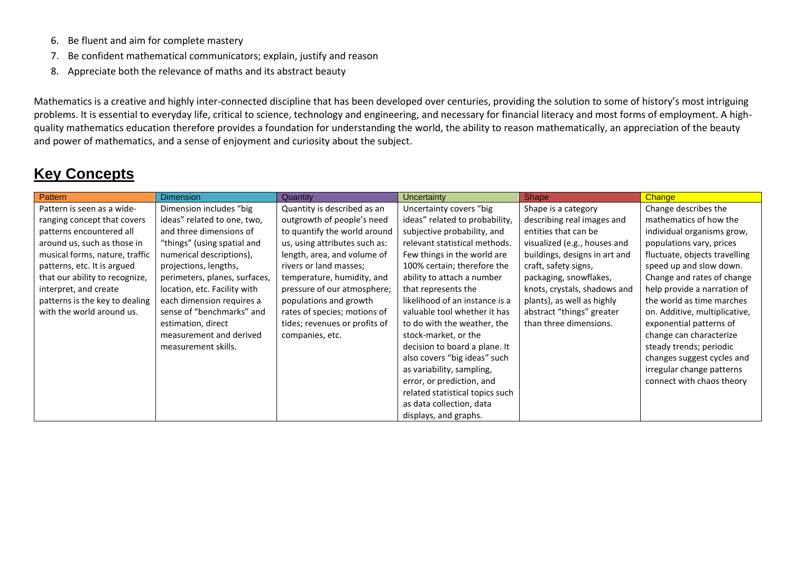- 6. Be fluent and aim for complete mastery
- 7. Be confident mathematical communicators; explain, justify and reason
- 8. Appreciate both the relevance of maths and its abstract beauty

Mathematics is a creative and highly inter-connected discipline that has been developed over centuries, providing the solution to some of history's most intriguing problems. It is essential to everyday life, critical to science, technology and engineering, and necessary for financial literacy and most forms of employment. A highquality mathematics education therefore provides a foundation for understanding the world, the ability to reason mathematically, an appreciation of the beauty and power of mathematics, and a sense of enjoyment and curiosity about the subject.

# **Key Concepts**

| <b>Pattern</b>                 | <b>Dimension</b>              | Quantity                      | Uncertainty                     | Shape                         | <b>Change</b>                 |
|--------------------------------|-------------------------------|-------------------------------|---------------------------------|-------------------------------|-------------------------------|
| Pattern is seen as a wide-     | Dimension includes "big       | Quantity is described as an   | Uncertainty covers "big         | Shape is a category           | Change describes the          |
| ranging concept that covers    | ideas" related to one, two,   | outgrowth of people's need    | ideas" related to probability,  | describing real images and    | mathematics of how the        |
| patterns encountered all       | and three dimensions of       | to quantify the world around  | subjective probability, and     | entities that can be          | individual organisms grow,    |
| around us, such as those in    | "things" (using spatial and   | us, using attributes such as: | relevant statistical methods.   | visualized (e.g., houses and  | populations vary, prices      |
| musical forms, nature, traffic | numerical descriptions),      | length, area, and volume of   | Few things in the world are     | buildings, designs in art and | fluctuate, objects travelling |
| patterns, etc. It is argued    | projections, lengths,         | rivers or land masses;        | 100% certain; therefore the     | craft, safety signs,          | speed up and slow down.       |
| that our ability to recognize, | perimeters, planes, surfaces, | temperature, humidity, and    | ability to attach a number      | packaging, snowflakes,        | Change and rates of change    |
| interpret, and create          | location, etc. Facility with  | pressure of our atmosphere;   | that represents the             | knots, crystals, shadows and  | help provide a narration of   |
| patterns is the key to dealing | each dimension requires a     | populations and growth        | likelihood of an instance is a  | plants), as well as highly    | the world as time marches     |
| with the world around us.      | sense of "benchmarks" and     | rates of species; motions of  | valuable tool whether it has    | abstract "things" greater     | on. Additive, multiplicative, |
|                                | estimation, direct            | tides; revenues or profits of | to do with the weather, the     | than three dimensions.        | exponential patterns of       |
|                                | measurement and derived       | companies, etc.               | stock-market, or the            |                               | change can characterize       |
|                                | measurement skills.           |                               | decision to board a plane. It   |                               | steady trends; periodic       |
|                                |                               |                               | also covers "big ideas" such    |                               | changes suggest cycles and    |
|                                |                               |                               | as variability, sampling,       |                               | irregular change patterns     |
|                                |                               |                               | error, or prediction, and       |                               | connect with chaos theory     |
|                                |                               |                               | related statistical topics such |                               |                               |
|                                |                               |                               | as data collection, data        |                               |                               |
|                                |                               |                               | displays, and graphs.           |                               |                               |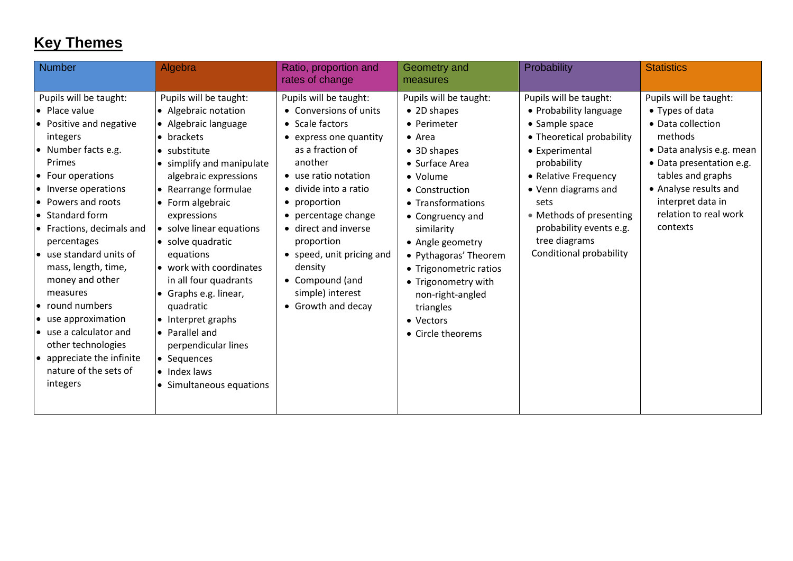# **Key Themes**

| <b>Number</b>                                                                                                                                                                                                                                                                                                                                                                                                                                                                                                         | Algebra                                                                                                                                                                                                                                                                                                                                                                                                                                                                                                         | Ratio, proportion and<br>rates of change                                                                                                                                                                                                                                                                                                                        | Geometry and<br>measures                                                                                                                                                                                                                                                                                                                                      | Probability                                                                                                                                                                                                                                                                               | <b>Statistics</b>                                                                                                                                                                                                                          |
|-----------------------------------------------------------------------------------------------------------------------------------------------------------------------------------------------------------------------------------------------------------------------------------------------------------------------------------------------------------------------------------------------------------------------------------------------------------------------------------------------------------------------|-----------------------------------------------------------------------------------------------------------------------------------------------------------------------------------------------------------------------------------------------------------------------------------------------------------------------------------------------------------------------------------------------------------------------------------------------------------------------------------------------------------------|-----------------------------------------------------------------------------------------------------------------------------------------------------------------------------------------------------------------------------------------------------------------------------------------------------------------------------------------------------------------|---------------------------------------------------------------------------------------------------------------------------------------------------------------------------------------------------------------------------------------------------------------------------------------------------------------------------------------------------------------|-------------------------------------------------------------------------------------------------------------------------------------------------------------------------------------------------------------------------------------------------------------------------------------------|--------------------------------------------------------------------------------------------------------------------------------------------------------------------------------------------------------------------------------------------|
| Pupils will be taught:<br>• Place value<br>• Positive and negative<br>integers<br>• Number facts e.g.<br><b>Primes</b><br>• Four operations<br>• Inverse operations<br>• Powers and roots<br>• Standard form<br>• Fractions, decimals and<br>percentages<br>$\bullet$ use standard units of<br>mass, length, time,<br>money and other<br>measures<br>• round numbers<br>• use approximation<br>$\bullet$ use a calculator and<br>other technologies<br>• appreciate the infinite<br>nature of the sets of<br>integers | Pupils will be taught:<br>• Algebraic notation<br>• Algebraic language<br>• brackets<br>• substitute<br>• simplify and manipulate<br>algebraic expressions<br>• Rearrange formulae<br>• Form algebraic<br>expressions<br>• solve linear equations<br>• solve quadratic<br>equations<br>• work with coordinates<br>in all four quadrants<br>• Graphs e.g. linear,<br>quadratic<br>• Interpret graphs<br>• Parallel and<br>perpendicular lines<br>• Sequences<br>$\bullet$ Index laws<br>• Simultaneous equations | Pupils will be taught:<br>• Conversions of units<br>• Scale factors<br>• express one quantity<br>as a fraction of<br>another<br>• use ratio notation<br>• divide into a ratio<br>• proportion<br>• percentage change<br>• direct and inverse<br>proportion<br>• speed, unit pricing and<br>density<br>• Compound (and<br>simple) interest<br>• Growth and decay | Pupils will be taught:<br>• 2D shapes<br>• Perimeter<br>$\bullet$ Area<br>• 3D shapes<br>• Surface Area<br>• Volume<br>• Construction<br>• Transformations<br>• Congruency and<br>similarity<br>• Angle geometry<br>• Pythagoras' Theorem<br>• Trigonometric ratios<br>• Trigonometry with<br>non-right-angled<br>triangles<br>• Vectors<br>• Circle theorems | Pupils will be taught:<br>• Probability language<br>• Sample space<br>• Theoretical probability<br>• Experimental<br>probability<br>• Relative Frequency<br>• Venn diagrams and<br>sets<br>• Methods of presenting<br>probability events e.g.<br>tree diagrams<br>Conditional probability | Pupils will be taught:<br>• Types of data<br>• Data collection<br>methods<br>• Data analysis e.g. mean<br>• Data presentation e.g.<br>tables and graphs<br>• Analyse results and<br>interpret data in<br>relation to real work<br>contexts |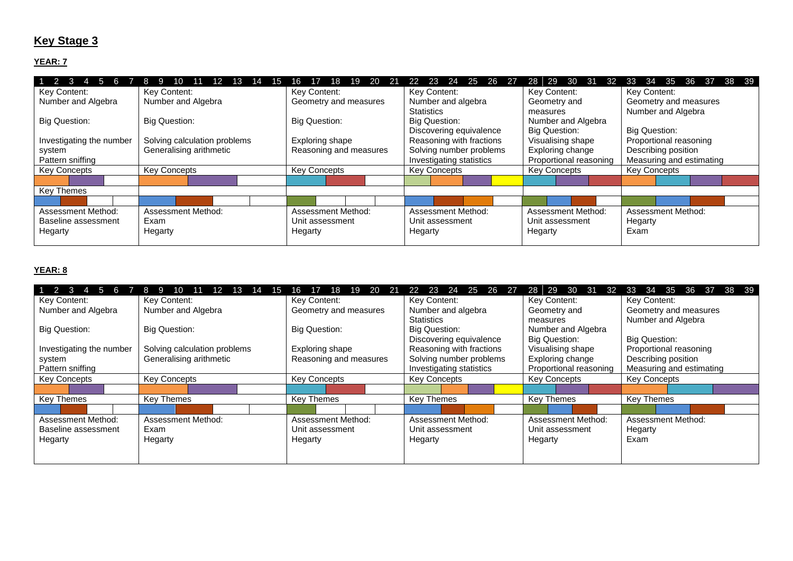## **Key Stage 3**

#### **YEAR: 7**

| $1\quad 2$<br>$\mathbf{3}$<br>$\overline{4}$<br>$\sqrt{5}$<br>- 6 |                              | 19<br>20<br>18<br>- 21<br>ıб | 25<br>23<br>24<br>22<br>-26<br>-27 | 29<br>30<br>28<br>-31<br>32 | 38 39<br>34<br>-35<br>37<br>33<br>36 |
|-------------------------------------------------------------------|------------------------------|------------------------------|------------------------------------|-----------------------------|--------------------------------------|
| Key Content:                                                      | Key Content:                 | Key Content:                 | Key Content:                       | Key Content:                | Key Content:                         |
| Number and Algebra                                                | Number and Algebra           | Geometry and measures        | Number and algebra                 | Geometry and                | Geometry and measures                |
|                                                                   |                              |                              | <b>Statistics</b>                  | measures                    | Number and Algebra                   |
| <b>Big Question:</b>                                              | <b>Big Question:</b>         | <b>Big Question:</b>         | <b>Big Question:</b>               | Number and Algebra          |                                      |
|                                                                   |                              |                              | Discovering equivalence            | <b>Big Question:</b>        | Big Question:                        |
| Investigating the number                                          | Solving calculation problems | Exploring shape              | Reasoning with fractions           | Visualising shape           | Proportional reasoning               |
| system                                                            | Generalising arithmetic      | Reasoning and measures       | Solving number problems            | Exploring change            | Describing position                  |
| Pattern sniffing                                                  |                              |                              | Investigating statistics           | Proportional reasoning      | Measuring and estimating             |
| <b>Key Concepts</b>                                               | <b>Key Concepts</b>          | <b>Key Concepts</b>          | <b>Key Concepts</b>                | <b>Key Concepts</b>         | <b>Key Concepts</b>                  |
|                                                                   |                              |                              |                                    |                             |                                      |
| Key Themes                                                        |                              |                              |                                    |                             |                                      |
|                                                                   |                              |                              |                                    |                             |                                      |
| <b>Assessment Method:</b>                                         | Assessment Method:           | <b>Assessment Method:</b>    | <b>Assessment Method:</b>          | Assessment Method:          | Assessment Method:                   |
| Baseline assessment                                               | Exam                         | Unit assessment              | Unit assessment                    | Unit assessment             | Hegarty                              |
| Hegarty                                                           | Hegarty                      | Hegarty                      | Hegarty                            | Hegarty                     | Exam                                 |
|                                                                   |                              |                              |                                    |                             |                                      |

#### **YEAR: 8**

| $1\quad 2$               |                              | 20<br>IX.<br>ın        | 25<br>24<br>26<br>23<br>-27<br>22 | 29<br>-30<br>28<br>-31<br>-32 | - 39<br>38<br>34<br>35<br>33<br>36<br>-37 |
|--------------------------|------------------------------|------------------------|-----------------------------------|-------------------------------|-------------------------------------------|
| Key Content:             | Key Content:                 | Key Content:           | Key Content:                      | Key Content:                  | Key Content:                              |
| Number and Algebra       | Number and Algebra           | Geometry and measures  | Number and algebra                | Geometry and                  | Geometry and measures                     |
|                          |                              |                        | <b>Statistics</b>                 | measures                      | Number and Algebra                        |
| <b>Big Question:</b>     | <b>Big Question:</b>         | <b>Big Question:</b>   | <b>Big Question:</b>              | Number and Algebra            |                                           |
|                          |                              |                        | Discovering equivalence           | Big Question:                 | Big Question:                             |
| Investigating the number | Solving calculation problems | Exploring shape        | Reasoning with fractions          | Visualising shape             | Proportional reasoning                    |
| system                   | Generalising arithmetic      | Reasoning and measures | Solving number problems           | Exploring change              | Describing position                       |
| Pattern sniffing         |                              |                        | Investigating statistics          | Proportional reasoning        | Measuring and estimating                  |
| <b>Key Concepts</b>      | <b>Key Concepts</b>          | <b>Key Concepts</b>    | <b>Key Concepts</b>               | Key Concepts                  | <b>Key Concepts</b>                       |
|                          |                              |                        |                                   |                               |                                           |
| <b>Key Themes</b>        | <b>Key Themes</b>            | <b>Key Themes</b>      | <b>Key Themes</b>                 | <b>Key Themes</b>             | <b>Key Themes</b>                         |
|                          |                              |                        |                                   |                               |                                           |
| Assessment Method:       | Assessment Method:           | Assessment Method:     | <b>Assessment Method:</b>         | Assessment Method:            | Assessment Method:                        |
| Baseline assessment      | Exam                         | Unit assessment        | Unit assessment                   | Unit assessment               | Hegarty                                   |
| Hegarty                  | Hegarty                      | Hegarty                | Hegarty                           | Hegarty                       | Exam                                      |
|                          |                              |                        |                                   |                               |                                           |
|                          |                              |                        |                                   |                               |                                           |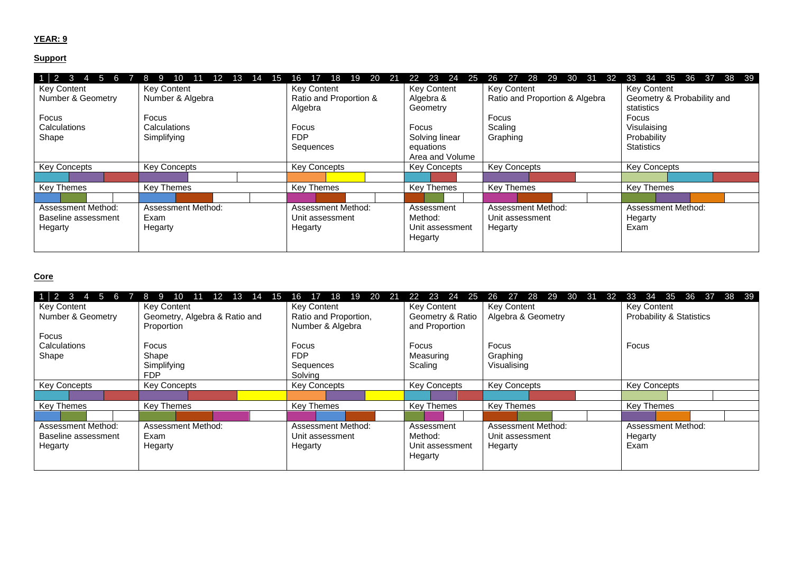#### **YEAR: 9**

#### **Support**

| $\overline{1}$<br>$4\quad 5\quad 6$<br>2 3 | 12 <sup>2</sup><br>8<br>9<br>10<br>13<br>14<br>15 | 19<br>20<br>18<br>21<br>16 | 23 24<br>22<br>- 25 | 27<br>28<br>29<br>30 31<br>26<br>- 32 | 33<br>-34<br>-35<br>36<br>37 38 39 |
|--------------------------------------------|---------------------------------------------------|----------------------------|---------------------|---------------------------------------|------------------------------------|
| <b>Key Content</b>                         | <b>Key Content</b>                                | <b>Key Content</b>         | <b>Key Content</b>  | <b>Key Content</b>                    | <b>Key Content</b>                 |
| Number & Geometry                          | Number & Algebra                                  | Ratio and Proportion &     | Algebra &           | Ratio and Proportion & Algebra        | Geometry & Probability and         |
|                                            |                                                   | Algebra                    | Geometry            |                                       | statistics                         |
| Focus                                      | Focus                                             |                            |                     | Focus                                 | Focus                              |
| Calculations                               | Calculations                                      | Focus                      | Focus               | Scaling                               | Visulaising                        |
| Shape                                      | Simplifying                                       | <b>FDP</b>                 | Solving linear      | Graphing                              | Probability                        |
|                                            |                                                   | Sequences                  | equations           |                                       | <b>Statistics</b>                  |
|                                            |                                                   |                            | Area and Volume     |                                       |                                    |
| <b>Key Concepts</b>                        | <b>Key Concepts</b>                               | <b>Key Concepts</b>        | <b>Key Concepts</b> | <b>Key Concepts</b>                   | <b>Key Concepts</b>                |
|                                            |                                                   |                            |                     |                                       |                                    |
|                                            |                                                   |                            |                     |                                       |                                    |
| <b>Key Themes</b>                          | Key Themes                                        | <b>Key Themes</b>          | <b>Key Themes</b>   | <b>Key Themes</b>                     | <b>Key Themes</b>                  |
|                                            |                                                   |                            |                     |                                       |                                    |
| Assessment Method:                         | <b>Assessment Method:</b>                         | Assessment Method:         | Assessment          | <b>Assessment Method:</b>             | Assessment Method:                 |
| Baseline assessment                        | Exam                                              | Unit assessment            | Method:             | Unit assessment                       | Hegarty                            |
| Hegarty                                    | Hegarty                                           | Hegarty                    | Unit assessment     | Hegarty                               | Exam                               |
|                                            |                                                   |                            | Hegarty             |                                       |                                    |

#### **Core**

| $\overline{1}$<br>$\overline{2}$<br>$\mathbf{3}$<br>$\overline{4}$<br><b>T5</b><br>- 6 | 8<br>13<br>ה ו                | 19<br>18<br>-20<br>21<br>16. | 23<br>24 25<br>22   | -29<br>27<br>- 28<br>30<br>-26<br>- 31<br>-32 | 34<br>35<br>36 37 38 39<br>33 |
|----------------------------------------------------------------------------------------|-------------------------------|------------------------------|---------------------|-----------------------------------------------|-------------------------------|
| <b>Key Content</b>                                                                     | <b>Key Content</b>            | <b>Key Content</b>           | <b>Key Content</b>  | <b>Key Content</b>                            | <b>Key Content</b>            |
| Number & Geometry                                                                      | Geometry, Algebra & Ratio and | Ratio and Proportion,        | Geometry & Ratio    | Algebra & Geometry                            | Probability & Statistics      |
|                                                                                        | Proportion                    | Number & Algebra             | and Proportion      |                                               |                               |
| Focus                                                                                  |                               |                              |                     |                                               |                               |
| Calculations                                                                           | Focus                         | Focus                        | Focus               | Focus                                         | Focus                         |
| Shape                                                                                  | Shape                         | <b>FDP</b>                   | Measuring           | Graphing                                      |                               |
|                                                                                        | Simplifying                   | Sequences                    | Scaling             | Visualising                                   |                               |
|                                                                                        | FDP                           | Solving                      |                     |                                               |                               |
| <b>Key Concepts</b>                                                                    | <b>Key Concepts</b>           | <b>Key Concepts</b>          | <b>Key Concepts</b> | <b>Key Concepts</b>                           | <b>Key Concepts</b>           |
|                                                                                        |                               |                              |                     |                                               |                               |
| Key Themes                                                                             | Key Themes                    | <b>Key Themes</b>            | <b>Key Themes</b>   | <b>Key Themes</b>                             | <b>Key Themes</b>             |
|                                                                                        |                               |                              |                     |                                               |                               |
| Assessment Method:                                                                     | Assessment Method:            | <b>Assessment Method:</b>    | Assessment          | <b>Assessment Method:</b>                     | Assessment Method:            |
| Baseline assessment                                                                    | Exam                          | Unit assessment              | Method:             | Unit assessment                               | Hegarty                       |
| Hegarty                                                                                | Hegarty                       | Hegarty                      | Unit assessment     | Hegarty                                       | Exam                          |
|                                                                                        |                               |                              | Hegarty             |                                               |                               |
|                                                                                        |                               |                              |                     |                                               |                               |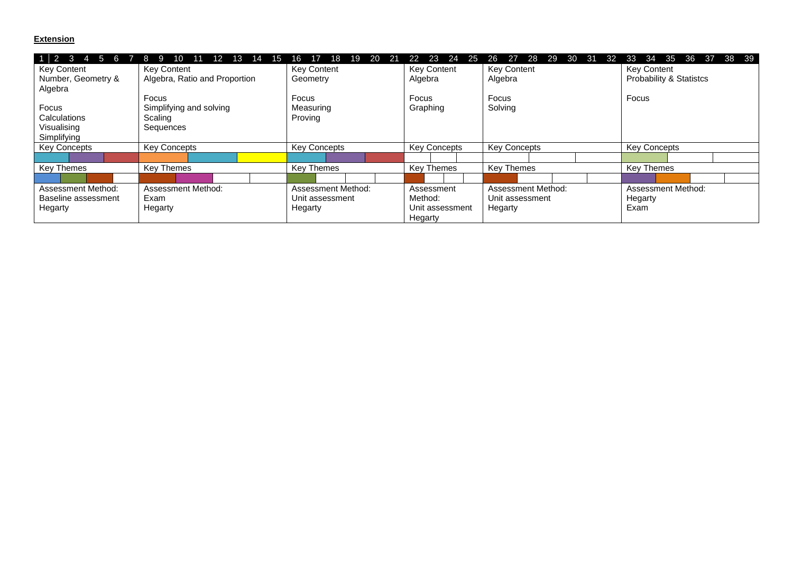#### **Extension**

| 1 2 3 4 5 6 7 8     | -9<br>10<br>12.<br>13<br>14<br>15 | 18<br>19<br>20<br>21<br>16 | 23<br>22<br>24<br>-25 | 27<br>- 28<br>29<br>30<br>26<br>- 31<br>-32 | 34 35 36 37 38 39<br>33            |
|---------------------|-----------------------------------|----------------------------|-----------------------|---------------------------------------------|------------------------------------|
| <b>Key Content</b>  | <b>Key Content</b>                | <b>Key Content</b>         | <b>Key Content</b>    | <b>Key Content</b>                          | <b>Key Content</b>                 |
| Number, Geometry &  | Algebra, Ratio and Proportion     | Geometry                   | Algebra               | Algebra                                     | <b>Probability &amp; Statistcs</b> |
| Algebra             |                                   |                            |                       |                                             |                                    |
|                     | Focus                             | Focus                      | Focus                 | Focus                                       | Focus                              |
| Focus               | Simplifying and solving           | Measuring                  | Graphing              | Solving                                     |                                    |
| Calculations        | Scaling                           | Proving                    |                       |                                             |                                    |
| Visualising         | Sequences                         |                            |                       |                                             |                                    |
| Simplifying         |                                   |                            |                       |                                             |                                    |
| <b>Key Concepts</b> | <b>Key Concepts</b>               | <b>Key Concepts</b>        | <b>Key Concepts</b>   | <b>Key Concepts</b>                         | <b>Key Concepts</b>                |
|                     |                                   |                            |                       |                                             |                                    |
| <b>Key Themes</b>   | Key Themes                        | <b>Key Themes</b>          | <b>Key Themes</b>     | Key Themes                                  | <b>Key Themes</b>                  |
|                     |                                   |                            |                       |                                             |                                    |
| Assessment Method:  | Assessment Method:                | <b>Assessment Method:</b>  | Assessment            | Assessment Method:                          | Assessment Method:                 |
| Baseline assessment | Exam                              | Unit assessment            | Method:               | Unit assessment                             | Hegarty                            |
| Hegarty             | Hegarty                           | Hegarty                    | Unit assessment       | Hegarty                                     | Exam                               |
|                     |                                   |                            | Hegarty               |                                             |                                    |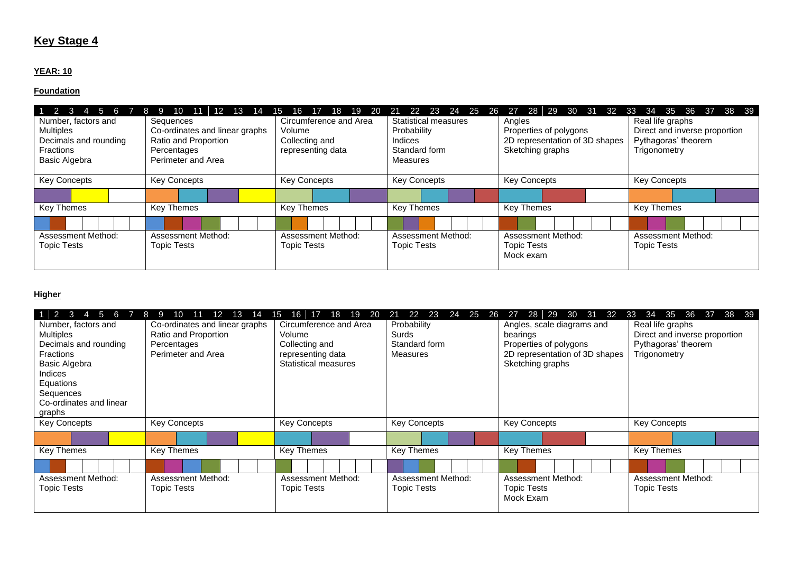## **Key Stage 4**

#### **YEAR: 10**

#### **Foundation**

| $\overline{1}$<br>-5<br>6 | 12 <sup>2</sup><br>13 <sup>°</sup><br>10<br>8<br>14 | 18<br>19<br>-20<br>16<br>15 | 23<br>22<br>24<br>-25<br>21<br>26 | -28<br>29<br>30<br>27<br>- 31<br>-32 | 35<br>34<br>37 38 39<br>-36<br>33 |
|---------------------------|-----------------------------------------------------|-----------------------------|-----------------------------------|--------------------------------------|-----------------------------------|
| Number, factors and       | Sequences                                           | Circumference and Area      | <b>Statistical measures</b>       | Angles                               | Real life graphs                  |
| <b>Multiples</b>          | Co-ordinates and linear graphs                      | Volume                      | Probability                       | Properties of polygons               | Direct and inverse proportion     |
| Decimals and rounding     | Ratio and Proportion                                | Collecting and              | Indices                           | 2D representation of 3D shapes       | Pythagoras' theorem               |
| <b>Fractions</b>          | Percentages                                         | representing data           | Standard form                     | Sketching graphs                     | Trigonometry                      |
| <b>Basic Algebra</b>      | Perimeter and Area                                  |                             | Measures                          |                                      |                                   |
|                           |                                                     |                             |                                   |                                      |                                   |
| <b>Key Concepts</b>       | <b>Key Concepts</b>                                 | <b>Key Concepts</b>         | <b>Key Concepts</b>               | <b>Key Concepts</b>                  | <b>Key Concepts</b>               |
|                           |                                                     |                             |                                   |                                      |                                   |
| <b>Key Themes</b>         | <b>Key Themes</b>                                   | Key Themes                  | <b>Key Themes</b>                 | <b>Key Themes</b>                    | Key Themes                        |
|                           |                                                     |                             |                                   |                                      |                                   |
| <b>Assessment Method:</b> | <b>Assessment Method:</b>                           | Assessment Method:          | Assessment Method:                | Assessment Method:                   | Assessment Method:                |
| <b>Topic Tests</b>        | Topic Tests                                         | <b>Topic Tests</b>          | <b>Topic Tests</b>                | <b>Topic Tests</b>                   | <b>Topic Tests</b>                |
|                           |                                                     |                             |                                   | Mock exam                            |                                   |
|                           |                                                     |                             |                                   |                                      |                                   |

#### **Higher**

| - 1<br>$4 5 6 7 8$<br>$\overline{2}$<br>$-3-$ | 11 12 13 14<br>10<br>-9        | 18<br>16<br>17<br>19 20<br>15. | 21  22  23  24  25  26 | 30 31 32 33<br>27<br>-28<br>29 | 34 35 36 37 38 39             |
|-----------------------------------------------|--------------------------------|--------------------------------|------------------------|--------------------------------|-------------------------------|
| Number, factors and                           | Co-ordinates and linear graphs | Circumference and Area         | Probability            | Angles, scale diagrams and     | Real life graphs              |
| <b>Multiples</b>                              | Ratio and Proportion           | Volume                         | Surds                  | bearings                       | Direct and inverse proportion |
| Decimals and rounding                         | Percentages                    | Collecting and                 | Standard form          | Properties of polygons         | Pythagoras' theorem           |
| <b>Fractions</b>                              | Perimeter and Area             | representing data              | <b>Measures</b>        | 2D representation of 3D shapes | Trigonometry                  |
| <b>Basic Algebra</b>                          |                                | <b>Statistical measures</b>    |                        | Sketching graphs               |                               |
| Indices                                       |                                |                                |                        |                                |                               |
| Equations                                     |                                |                                |                        |                                |                               |
| Sequences                                     |                                |                                |                        |                                |                               |
| Co-ordinates and linear                       |                                |                                |                        |                                |                               |
| graphs                                        |                                |                                |                        |                                |                               |
| <b>Key Concepts</b>                           | <b>Key Concepts</b>            | <b>Key Concepts</b>            | <b>Key Concepts</b>    | <b>Key Concepts</b>            | <b>Key Concepts</b>           |
|                                               |                                |                                |                        |                                |                               |
|                                               |                                |                                |                        |                                |                               |
| <b>Key Themes</b>                             | Key Themes                     | <b>Key Themes</b>              | <b>Key Themes</b>      | <b>Key Themes</b>              | <b>Key Themes</b>             |
|                                               |                                |                                |                        |                                |                               |
| Assessment Method:                            | Assessment Method:             | Assessment Method:             | Assessment Method:     | Assessment Method:             | Assessment Method:            |
| <b>Topic Tests</b>                            | <b>Topic Tests</b>             | <b>Topic Tests</b>             | <b>Topic Tests</b>     | <b>Topic Tests</b>             | <b>Topic Tests</b>            |
|                                               |                                |                                |                        | Mock Exam                      |                               |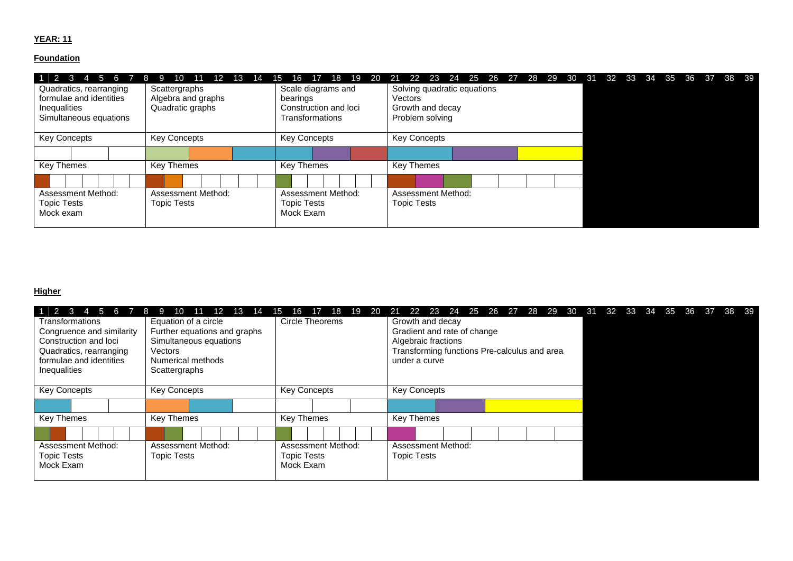#### **YEAR: 11**

#### **Foundation**

| $\overline{1}$<br>Scattergraphs<br>Quadratics, rearranging<br>formulae and identities<br>Inequalities<br>Simultaneous equations | Algebra and graphs<br>Quadratic graphs | 19<br>-20<br>18<br>15<br>16<br>Scale diagrams and<br>bearings<br>Construction and loci<br>Transformations | 25  26  27  28  29  30  31<br>-23<br>24<br>-22<br>- 21<br>Solving quadratic equations<br>Vectors<br>Growth and decay<br>Problem solving | 32 33 34<br>- 35<br>38 39<br>- 36<br>- 37 |
|---------------------------------------------------------------------------------------------------------------------------------|----------------------------------------|-----------------------------------------------------------------------------------------------------------|-----------------------------------------------------------------------------------------------------------------------------------------|-------------------------------------------|
| <b>Key Concepts</b>                                                                                                             | <b>Key Concepts</b>                    | <b>Key Concepts</b>                                                                                       | <b>Key Concepts</b>                                                                                                                     |                                           |
|                                                                                                                                 |                                        |                                                                                                           |                                                                                                                                         |                                           |
| Key Themes<br>Key Themes                                                                                                        |                                        | Key Themes                                                                                                | Key Themes                                                                                                                              |                                           |
| Assessment Method:<br><b>Topic Tests</b><br>Topic Tests<br>Mock exam                                                            | Assessment Method:                     | Assessment Method:<br><b>Topic Tests</b><br>Mock Exam                                                     | Assessment Method:<br><b>Topic Tests</b>                                                                                                |                                           |

#### **Higher**

| $1\quad 2$<br>$-5$<br>6   | 12<br>13<br>14               | 18<br>19<br>-20<br>16<br>15 | 25 26 27 28 29 30 31<br>- 23<br>- 24<br>22<br>-21 | 32 33<br>$-34$<br>-35<br>- 39<br>36<br>38 |
|---------------------------|------------------------------|-----------------------------|---------------------------------------------------|-------------------------------------------|
| Transformations           | Equation of a circle         | Circle Theorems             | Growth and decay                                  |                                           |
| Congruence and similarity | Further equations and graphs |                             | Gradient and rate of change                       |                                           |
| Construction and loci     | Simultaneous equations       |                             | Algebraic fractions                               |                                           |
| Quadratics, rearranging   | Vectors                      |                             | Transforming functions Pre-calculus and area      |                                           |
| formulae and identities   | Numerical methods            |                             | under a curve                                     |                                           |
| Inequalities              | Scattergraphs                |                             |                                                   |                                           |
|                           |                              |                             |                                                   |                                           |
| <b>Key Concepts</b>       | <b>Key Concepts</b>          | <b>Key Concepts</b>         | <b>Key Concepts</b>                               |                                           |
|                           |                              |                             |                                                   |                                           |
| <b>Key Themes</b>         | <b>Key Themes</b>            | <b>Key Themes</b>           | <b>Key Themes</b>                                 |                                           |
|                           |                              |                             |                                                   |                                           |
| <b>Assessment Method:</b> | <b>Assessment Method:</b>    | Assessment Method:          | Assessment Method:                                |                                           |
| <b>Topic Tests</b>        | <b>Topic Tests</b>           | <b>Topic Tests</b>          | <b>Topic Tests</b>                                |                                           |
| Mock Exam                 |                              | Mock Exam                   |                                                   |                                           |
|                           |                              |                             |                                                   |                                           |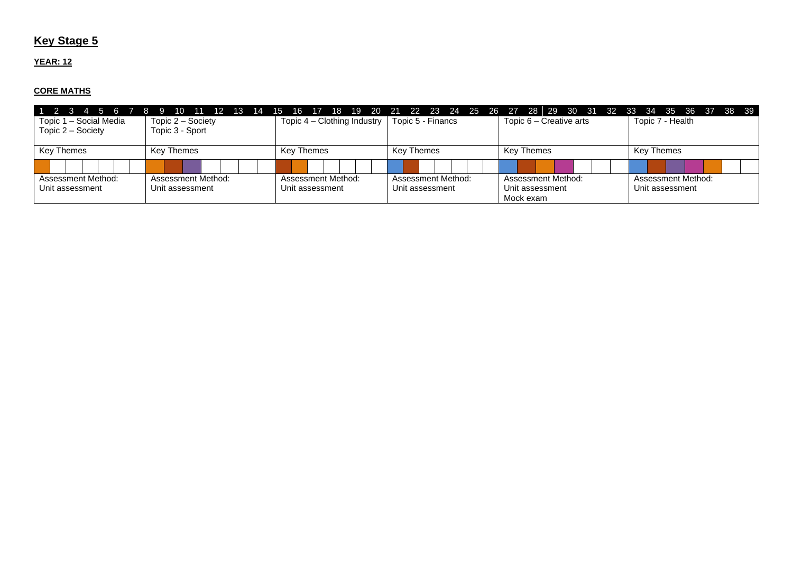## **Key Stage 5**

#### **YEAR: 12**

#### **CORE MATHS**

| 1 2 3 4 5 6 7 8        |                    |                             |                    |                         | 9 10 11 12 13 14 15 16 17 18 19 20 21 22 23 24 25 26 27 28 29 30 31 32 33 34 35 36 37 38 39 |
|------------------------|--------------------|-----------------------------|--------------------|-------------------------|---------------------------------------------------------------------------------------------|
| Topic 1 - Social Media | Topic 2 – Society  | Topic 4 – Clothing Industry | Topic 5 - Financs  | Topic 6 – Creative arts | Topic 7 - Health                                                                            |
| Topic 2 – Society      | Topic 3 - Sport    |                             |                    |                         |                                                                                             |
|                        |                    |                             |                    |                         |                                                                                             |
| Key Themes             | Key Themes         | Key Themes                  | Key Themes         | Key Themes              | Key Themes                                                                                  |
|                        |                    |                             |                    |                         |                                                                                             |
|                        |                    |                             |                    |                         |                                                                                             |
| Assessment Method:     | Assessment Method: | Assessment Method:          | Assessment Method: | Assessment Method:      | Assessment Method:                                                                          |
| Unit assessment        | Unit assessment    | Unit assessment             | Unit assessment    | Unit assessment         | Unit assessment                                                                             |
|                        |                    |                             |                    | Mock exam               |                                                                                             |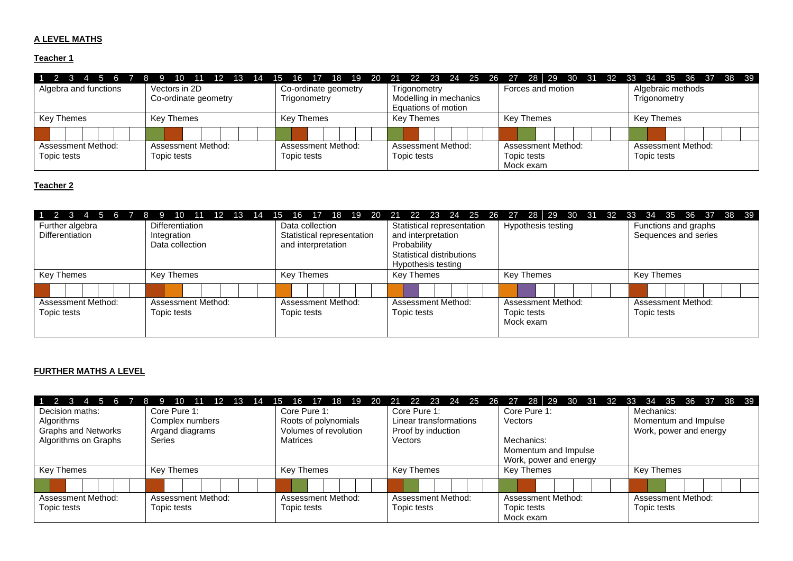#### **A LEVEL MATHS**

#### **Teacher 1**

|                       |                                       |                                      |                                        | 1 2 3 4 5 6 7 8 9 10 11 12 13 14 15 16 17 18 19 20 21 22 23 24 25 26 27 28 29 30 31 32 33 34 35 36 37 38 39 |                                   |
|-----------------------|---------------------------------------|--------------------------------------|----------------------------------------|-------------------------------------------------------------------------------------------------------------|-----------------------------------|
| Algebra and functions | Vectors in 2D<br>Co-ordinate geometry | Co-ordinate geometry<br>Trigonometry | Trigonometry<br>Modelling in mechanics | Forces and motion                                                                                           | Algebraic methods<br>Trigonometry |
|                       |                                       |                                      | Equations of motion                    |                                                                                                             |                                   |
| Key Themes            | Key Themes                            | Key Themes                           | <b>Key Themes</b>                      | Key Themes                                                                                                  | Key Themes                        |
|                       |                                       |                                      |                                        |                                                                                                             |                                   |
| Assessment Method:    | Assessment Method:                    | Assessment Method:                   | Assessment Method:                     | Assessment Method:                                                                                          | Assessment Method:                |
| Topic tests           | Topic tests                           | Topic tests                          | Topic tests                            | Topic tests                                                                                                 | Topic tests                       |
|                       |                                       |                                      |                                        | Mock exam                                                                                                   |                                   |

#### **Teacher 2**

| 1 2 3 4 5 6 7 8 9 10 |                        |                            |                                                 |                          | 11 12 13 14 15 16 17 18 19 20 21 22 23 24 25 26 27 28 29 30 31 32 33 34 35 36 37 38 39 |
|----------------------|------------------------|----------------------------|-------------------------------------------------|--------------------------|----------------------------------------------------------------------------------------|
| Further algebra      | <b>Differentiation</b> | Data collection            | Statistical representation                      | Hypothesis testing       | Functions and graphs                                                                   |
| Differentiation      | Integration            | Statistical representation | and interpretation                              |                          | Sequences and series                                                                   |
|                      | Data collection        | and interpretation         | Probability                                     |                          |                                                                                        |
|                      |                        |                            | Statistical distributions<br>Hypothesis testing |                          |                                                                                        |
| Key Themes           | Key Themes             | Key Themes                 | Key Themes                                      | Key Themes               | Key Themes                                                                             |
|                      |                        |                            |                                                 |                          |                                                                                        |
| Assessment Method:   | Assessment Method:     | Assessment Method:         | Assessment Method:                              | Assessment Method:       | Assessment Method:                                                                     |
| Topic tests          | Topic tests            | Topic tests                | Topic tests                                     | Topic tests<br>Mock exam | Topic tests                                                                            |

#### **FURTHER MATHS A LEVEL**

| $1$ 2 $\overline{3}$ 4 5 6 7 8 9 | 10 11 12 13 14     | 15<br>17<br>16        |                        |                        | 18 19 20 21 22 23 24 25 26 27 28 29 30 31 32 33 34 35 36 37 38 39 |
|----------------------------------|--------------------|-----------------------|------------------------|------------------------|-------------------------------------------------------------------|
| Decision maths:                  | Core Pure 1:       | Core Pure 1:          | Core Pure 1:           | Core Pure 1:           | Mechanics:                                                        |
| Algorithms                       | Complex numbers    | Roots of polynomials  | Linear transformations | Vectors                | Momentum and Impulse                                              |
| Graphs and Networks              | Argand diagrams    | Volumes of revolution | Proof by induction     |                        | Work, power and energy                                            |
| Algorithms on Graphs             | <b>Series</b>      | Matrices              | Vectors                | Mechanics:             |                                                                   |
|                                  |                    |                       |                        | Momentum and Impulse   |                                                                   |
|                                  |                    |                       |                        | Work, power and energy |                                                                   |
| Key Themes                       | Key Themes         | Key Themes            | <b>Key Themes</b>      | <b>Key Themes</b>      | Key Themes                                                        |
|                                  |                    |                       |                        |                        |                                                                   |
| Assessment Method:               | Assessment Method: | Assessment Method:    | Assessment Method:     | Assessment Method:     | Assessment Method:                                                |
| Topic tests                      | Topic tests        | Topic tests           | Topic tests            | Topic tests            | Topic tests                                                       |
|                                  |                    |                       |                        | Mock exam              |                                                                   |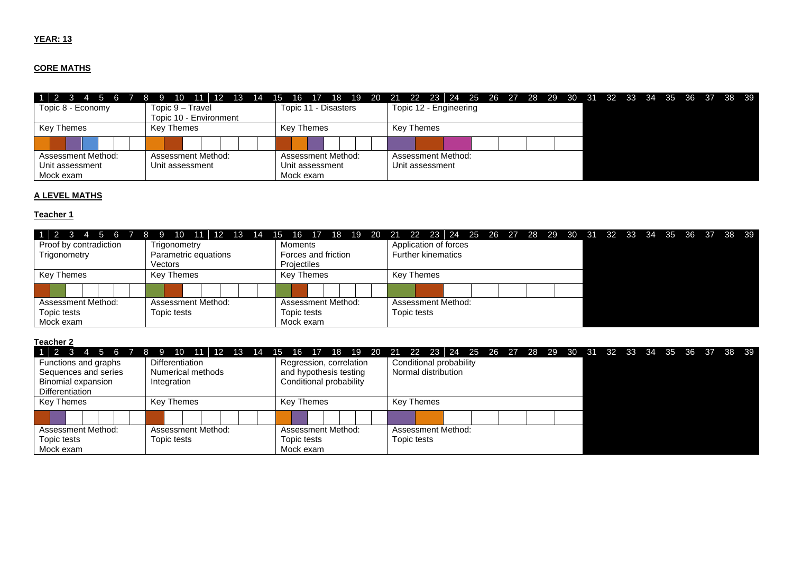#### **YEAR: 13**

#### **CORE MATHS**

|                    |                        |                      | 1 2 3 4 5 6 7 8 9 10 11 12 13 14 15 16 17 18 19 20 21 22 23 24 25 26 27 28 29 30 31 32 33 34 35 36 37 38 39 |
|--------------------|------------------------|----------------------|-------------------------------------------------------------------------------------------------------------|
| Topic 8 - Economy  | Topic 9 – Travel       | Topic 11 - Disasters | Topic 12 - Engineering                                                                                      |
|                    | Topic 10 - Environment |                      |                                                                                                             |
| <b>Key Themes</b>  | Key Themes             | Key Themes           | Key Themes                                                                                                  |
|                    |                        |                      |                                                                                                             |
| Assessment Method: | Assessment Method:     | Assessment Method:   | Assessment Method:                                                                                          |
| Unit assessment    | Unit assessment        | Unit assessment      | Unit assessment                                                                                             |
| Mock exam          |                        | Mock exam            |                                                                                                             |

#### **A LEVEL MATHS**

#### **Teacher 1**

|                        |                      |                     | 1 2 3 4 5 6 7 8 9 10 11 12 13 14 15 16 17 18 19 20 21 22 23 24 25 26 27 28 29 30 31 32 33 34 35 36 37 38 39 |  |
|------------------------|----------------------|---------------------|-------------------------------------------------------------------------------------------------------------|--|
| Proof by contradiction | Trigonometry         | Moments             | Application of forces                                                                                       |  |
| Trigonometry           | Parametric equations | Forces and friction | <b>Further kinematics</b>                                                                                   |  |
|                        | Vectors              | Projectiles         |                                                                                                             |  |
| <b>Key Themes</b>      | Kev Themes           | Key Themes          | Key Themes                                                                                                  |  |
|                        |                      |                     |                                                                                                             |  |
| Assessment Method:     | Assessment Method:   | Assessment Method:  | Assessment Method:                                                                                          |  |
| Topic tests            | Topic tests          | Topic tests         | Topic tests                                                                                                 |  |
| Mock exam              |                      | Mock exam           |                                                                                                             |  |

**Teacher 2**

|                           |                    |                         | 1 2 3 4 5 6 7 8 9 10 11 12 13 14 15 16 17 18 19 20 21 22 23 24 25 26 27 28 29 30 31 32 33 34 35 36 37 38 39 |  |
|---------------------------|--------------------|-------------------------|-------------------------------------------------------------------------------------------------------------|--|
| Functions and graphs      | Differentiation    | Regression, correlation | Conditional probability                                                                                     |  |
| Sequences and series      | Numerical methods  | and hypothesis testing  | Normal distribution                                                                                         |  |
| <b>Binomial expansion</b> | Integration        | Conditional probability |                                                                                                             |  |
| Differentiation           |                    |                         |                                                                                                             |  |
| Key Themes                | Key Themes         | Key Themes              | Key Themes                                                                                                  |  |
|                           |                    |                         |                                                                                                             |  |
| Assessment Method:        | Assessment Method: | Assessment Method:      | Assessment Method:                                                                                          |  |
| Topic tests               | Topic tests        | Topic tests             | Topic tests                                                                                                 |  |
| Mock exam                 |                    | Mock exam               |                                                                                                             |  |